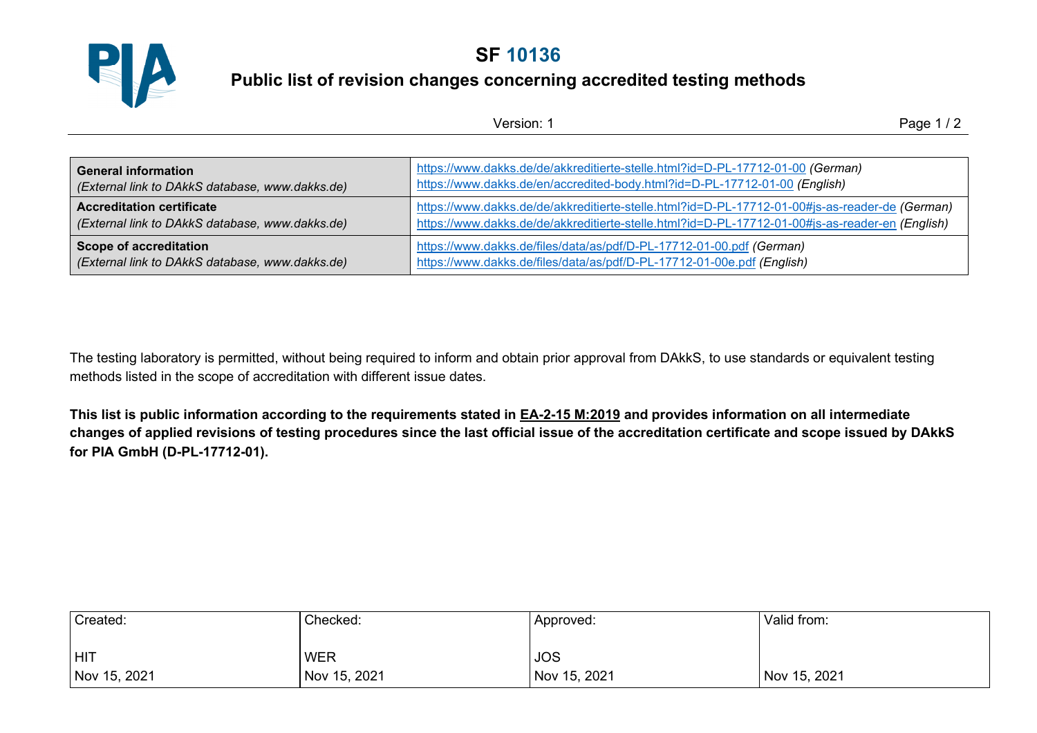

## **SF 10136**

## **Public list of revision changes concerning accredited testing methods**

| Version: 1                                                                          |                                                                                                                                                                                                   | Page $1/2$ |
|-------------------------------------------------------------------------------------|---------------------------------------------------------------------------------------------------------------------------------------------------------------------------------------------------|------------|
|                                                                                     |                                                                                                                                                                                                   |            |
| <b>General information</b><br>(External link to DAkkS database, www.dakks.de)       | https://www.dakks.de/de/akkreditierte-stelle.html?id=D-PL-17712-01-00 (German)<br>https://www.dakks.de/en/accredited-body.html?id=D-PL-17712-01-00 (English)                                      |            |
| <b>Accreditation certificate</b><br>(External link to DAkkS database, www.dakks.de) | https://www.dakks.de/de/akkreditierte-stelle.html?id=D-PL-17712-01-00#js-as-reader-de (German)<br>https://www.dakks.de/de/akkreditierte-stelle.html?id=D-PL-17712-01-00#js-as-reader-en (English) |            |
| <b>Scope of accreditation</b><br>(External link to DAkkS database, www.dakks.de)    | https://www.dakks.de/files/data/as/pdf/D-PL-17712-01-00.pdf (German)<br>https://www.dakks.de/files/data/as/pdf/D-PL-17712-01-00e.pdf (English)                                                    |            |

The testing laboratory is permitted, without being required to inform and obtain prior approval from DAkkS, to use standards or equivalent testing methods listed in the scope of accreditation with different issue dates.

**This list is public information according to the requirements stated in EA-2-15 M:2019 and provides information on all intermediate changes of applied revisions of testing procedures since the last official issue of the accreditation certificate and scope issued by DAkkS for PIA GmbH (D-PL-17712-01).** 

| Created:     | Checked:     | Approved:    | Valid from:  |
|--------------|--------------|--------------|--------------|
| HIT          | <b>WER</b>   | <b>JOS</b>   |              |
| Nov 15, 2021 | Nov 15, 2021 | Nov 15, 2021 | Nov 15, 2021 |